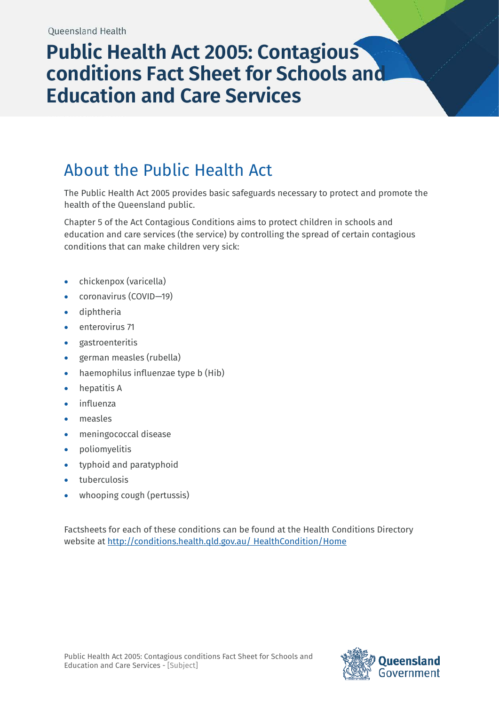# **Public Health Act 2005: Contagious conditions Fact Sheet for Schools and Education and Care Services**

### About the Public Health Act

The Public Health Act 2005 provides basic safeguards necessary to protect and promote the health of the Queensland public.

Chapter 5 of the Act Contagious Conditions aims to protect children in schools and education and care services (the service) by controlling the spread of certain contagious conditions that can make children very sick:

- chickenpox (varicella)
- coronavirus (COVID-19)
- diphtheria
- enterovirus 71
- gastroenteritis
- german measles (rubella)
- haemophilus influenzae type b (Hib)
- hepatitis A
- influenza
- measles
- meningococcal disease
- poliomyelitis
- typhoid and paratyphoid
- tuberculosis
- whooping cough (pertussis)

Factsheets for each of these conditions can be found at the Health Conditions Directory website at [http://conditions.health.qld.gov.au/ HealthCondition/Home](http://conditions.health.qld.gov.au/%20HealthCondition/Home)